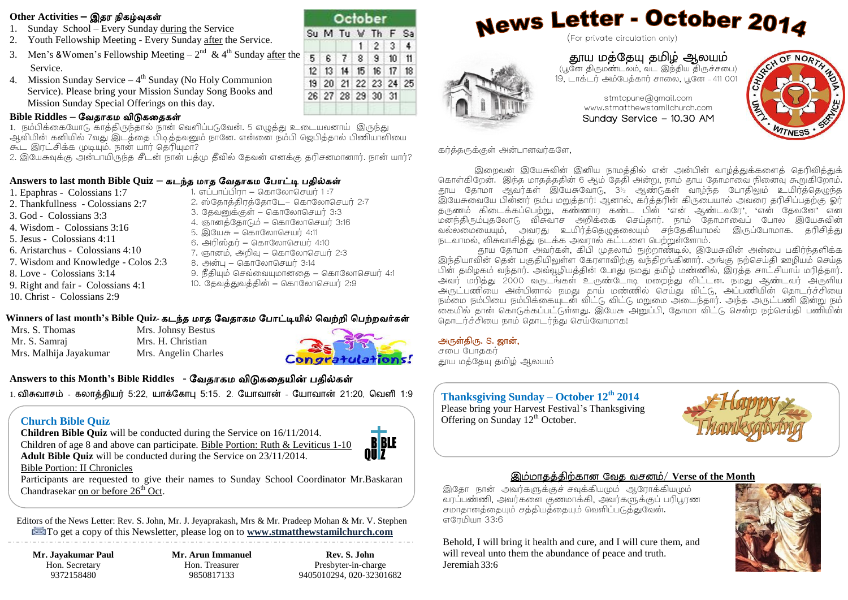#### **Other Activities –** இதர நிகழ்வுகள்

- 1. Sunday School Every Sunday during the Service
- 2. Youth Fellowship Meeting Every Sunday after the Service.
- 3. Men's & Women's Fellowship Meeting  $-2^{nd}$  & 4<sup>th</sup> Sunday <u>after</u> the Service.
- 4. Mission Sunday Service  $-4<sup>th</sup>$  Sunday (No Holy Communion Service). Please bring your Mission Sunday Song Books and Mission Sunday Special Offerings on this day.

#### **Bible Riddles –** வேதாகம ேிடுகததகள்

1. நம்பிக்கையோடு காத்திருந்தால் நான் வெளிப்படுவேன். 5 எழுத்து உடையவனாய் இருந்து அவியின் கனியில் 7வது இடத்தை பிடித்தவனும் நானே. என்னை நம்பி ஜெபிக்கால் பிணியாளியை கூட இரட்சிக்க முடியும். நான் யார் தெரியுமா?

2. இயேசுவக்கு அன்பாயிருந்த சீடன் நான் பத்மு தீவில் கேவன் எனக்கு தரிசனமானார். நான் யார்?

#### Answers to last month Bible Quiz – கடந்த மாத வேதாகம போட்டி பதில்கள்

- 1. Epaphras Colossians 1:7 2. Thankfullness - Colossians 2:7 3. God - Colossians 3:3 4. Wisdom - Colossians 3:16
- 5. Jesus Colossians 4:11
- 6. Aristarchus Colossians 4:10
- 7. Wisdom and Knowledge Colos 2:3
- 8. Love Colossians 3:14
- 9. Right and fair Colossians 4:1
- 10. Christ Colossians 2:9
- 1. எப்பாப்பிாா கொலோசெயர் 1:7
	- 2. ஸ்தோத்திரத்தோடே– கொலோசெயர் 2:7
	- 3. தேவனுக்குள் கொலோசெயர் 3:3
	- 4. ஞானத்தோடும் கொலோசெயர் 3:16
	- 5. இயேசு கொலோசெயர் 4:11
	- 6. அரிஸ்தர் கொலோசெயர் 4:10
	- 7. ஞானம், அறிவு கொலோசெயர் 2:3
	- 8. அன்பு கொலோசெயா 3:14
	- 9. நீகியம் செவ்வையமானகை கொலோசெயா  $4:1$
	- 10. கேவக்குவக்கின் கொலோசெயர் 2:9

#### **Winners of last month's Bible Quiz-** கடந்த மாத வேதாகம வ ாட்டியில் வேற்றி வ ற்றேர்கள்

Mrs. S. Thomas Mr. S. Samraj Mrs. Malhija Jayakumar

Mrs. Johnsy Bestus Mrs. H. Christian Mrs. Angelin Charles



October Su M Tu W Th F Sa

 $1$ 

5 6 7 8 9 10 11 12 13 14 15 16 17 18 19 20 21 22 23 24 25 26 27 28 29 30 31

 $\overline{2}$  $3<sup>1</sup>$   $\overline{4}$ 

## **Answers to this Month's Bible Riddles -** வேதாகம ேிடுகததயின் தில்கள்

 $1.$  விசுவாசம் - கலாக்கியர் 5:22, யாக்கோபு 5:15, 2, யோவான் - யோவான் 21:20, வெளி 1:9

## **Church Bible Quiz Church Bible Quiz Church Bible Quiz October.**

Bible Portion: II Chronicles

**Children Bible Quiz** will be conducted during the Service on 16/11/2014. Children of age 8 and above can participate. Bible Portion: Ruth & Leviticus 1-10 **Adult Bible Quiz** will be conducted during the Service on 23/11/2014.



Participants are requested to give their names to Sunday School Coordinator Mr.Baskaran Chandrasekar on or before  $26<sup>th</sup>$  Oct.

Editors of the News Letter: Rev. S. John, Mr. J. Jeyaprakash, Mrs & Mr. Pradeep Mohan & Mr. V. Stephen [T](http://images.google.co.in/imgres?imgurl=http://www.ssfusd.org/ae/email icon.gif&imgrefurl=http://www.ssfusd.org/ae/&usg=__cjyNXA-Te-jt6U9E4Oq2VTfOa_s=&h=200&w=200&sz=5&hl=en&start=19&tbnid=-VfO1WPM3eyIoM:&tbnh=104&tbnw=104&prev=/images?q=email+icon&gbv=2&hl=en)o get a copy of this Newsletter, please log on to **www[.stmatthewstamilchurch.com](mailto:stmtcpune@gmail.com)**

**Mr. Jayakumar Paul** Hon. Secretary 9372158480

**Mr. Arun Immanuel** Hon. Treasurer 9850817133

**Rev. S. John** Presbyter-in-charge 9405010294, 020-32301682

# News Letter - October 2014

(For private circulation only)



# தூய மத்தேயு ேமிழ் ஆலயம் (பூதே திருமண்டலம், வட இந்திய திருச்சபை)

19, டாக்டர் அம்தைத்கார் சாபல, பூதே – 411 001

stmtcpune@gmail.com www.stmatthewstamilchurch.com Sunday Service - 10.30 AM



கர்த்தருக்குள் அன்பானவர்களே,

இறைவன் இயேசுவின் இனிய நாமக்கில் என் அன்பின் வாம்க்குக்களைக் கெரிவிக்குக் கொள்கிறேன். இந்த மாதத்ததின் 6 ஆம் தேதி அன்று, நாம் தூய தோமாவை நினைவு கூறுகிறோம். தூய தோமா ஆவர்கள் இயேசுவோடு, 3½ ஆண்டுகள் வாழ்ந்த போதிலும் உயிர்த்தெழுந்த .<br>இயேசுவையே பின்னர் நம்ப மறுத்தார்! ஆனால், கர்த்தரின் கிருடையால் அவரை தரிசிப்பதற்கு ஓர் ு.<br>தருணம் கிடைக்கப்பெற்று, கண்ணார கண்ட பின் 'என் ஆண்டவரே', 'என் தேவனே' என .<br>மனந்திரும்புதலோடு விசுவாச அறிக்கை செய்தார். நாம் தோமாவைப் போல இயேசுவின் வல்லமையையும். அவரது உயிர்க்கெழுகலையும் சந்தேகியாமல் இருப்போமாக. தரிசிக்து நடவாமல், விசுவாசித்து நடக்க அவரால் கட்டளை பெற்றுள்ளோம்.

.<br>காய கோமா அவர்கள், கிபி முகலாம் நுற்றாண்டில், இயேசுவின் அன்பை பகிர்ந்களிக்க இந்தியாவின் தென் பகுதியிலுள்ள கேரளாவிற்கு வந்திறங்கினார். அங்கு நற்செய்தி ஊழியம் செய்த பின் கமிடிகம் வந்கார். அவ்வழியக்கின் போது நமது கமிழ் மண்ணில், இரக்க சாட்சியாய் மரிக்கார். அவர் மரித்து 2000 வருடங்கள் உருண்டோடி மறைந்து விட்டன. நமது ஆண்டவர் அருளிய அருட்பணியை அன்பினால் நமது தாய் மண்ணில் செய்து விட்டு, அப்பணியின் தொடர்ச்சியை நம்மை நம்பியை நம்பிக்கையடன் விட்டு விட்டு மறுமை அடைந்தார். அந்த அருட்பணி இன்று நம் .<br>கையில் தான் கொடுக்கப்பட்டுள்ளது. இயேசு அனுப்பி, தோமா விட்டு சென்ற நற்செய்கி பணியின் !

#### அருள்திரு. S. ஜான்,

 $\overline{\phantom{a}}$ 

 $\overline{\phantom{0}}$ 

சபை போககர் தூய மத்தேயு ேமிழ் ஆலயம்

#### **Thanksgiving Sunday – October 12th 2014** Please bring your Harvest Festival's Thanksgiving

## இம்மாேத்திற்காே தவே வசேம்/ **Verse of the Month**

இதோ நான் அவர்களுக்குச் சவுக்கியமும் ஆரோக்கியமும் வரப்பண்ணி, அவர்களை குணமாக்கி, அவர்களுக்குப் பரிபூரண சமாகானக்கையம் சக்கியக்கையம் வெளிப்படுக்குவேன். எரேமியா 33:6

Behold, I will bring it health and cure, and I will cure them, and will reveal unto them the abundance of peace and truth. Jeremiah 33:6